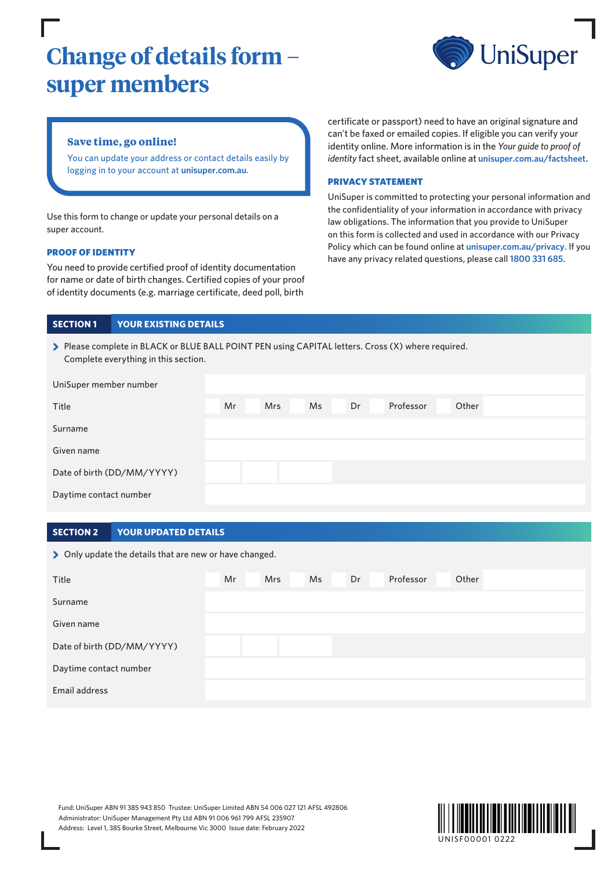# **Change of details form – super members**



# **Save time, go online!**

You can update your address or contact details easily by logging in to your account at **[unisuper.com.au](http://unisuper.com.au)** .

Use this form to change or update your personal details on a super account.

#### PROOF OF IDENTITY

You need to provide certified proof of identity documentation for name or date of birth changes. Certified copies of your proof of identity documents (e.g. marriage certificate, deed poll, birth

certificate or passport) need to have an original signature and can't be faxed or emailed copies. If eligible you can verify your identity online. More information is in the *Your guide to proof of identity* fact sheet, available online at **[unisuper.com.au/factsheet](http://unisuper.com.au/factsheet)**.

#### PRIVACY STATEMENT

UniSuper is committed to protecting your personal information and the confidentiality of your information in accordance with privacy law obligations. The information that you provide to UniSuper on this form is collected and used in accordance with our Privacy Policy which can be found online at **[unisuper.com.au/privacy](http://unisuper.com.au/privacy)** . If you have any privacy related questions, please call **1800 331 685**.

#### **SECTION 1 YOUR EXISTING DETAILS**

| > Please complete in BLACK or BLUE BALL POINT PEN using CAPITAL letters. Cross (X) where required. |
|----------------------------------------------------------------------------------------------------|
| Complete everything in this section.                                                               |

| UniSuper member number     |    |            |    |    |           |       |
|----------------------------|----|------------|----|----|-----------|-------|
| Title                      | Mr | <b>Mrs</b> | Ms | Dr | Professor | Other |
| Surname                    |    |            |    |    |           |       |
| Given name                 |    |            |    |    |           |       |
| Date of birth (DD/MM/YYYY) |    |            |    |    |           |       |
| Daytime contact number     |    |            |    |    |           |       |

#### **SECTION 2 YOUR UPDATED DETAILS**

> Only update the details that are new or have changed.

| Title                      | Mr | <b>Mrs</b> | Ms | Dr | Professor | Other |
|----------------------------|----|------------|----|----|-----------|-------|
| Surname                    |    |            |    |    |           |       |
| Given name                 |    |            |    |    |           |       |
| Date of birth (DD/MM/YYYY) |    |            |    |    |           |       |
| Daytime contact number     |    |            |    |    |           |       |
| Email address              |    |            |    |    |           |       |

Fund: UniSuper ABN 91 385 943 850 Trustee: UniSuper Limited ABN 54 006 027 121 AFSL 492806 Administrator: UniSuper Management Pty Ltd ABN 91 006 961 799 AFSL 235907 Address: Level 1, 385 Bourke Street, Melbourne Vic 3000 Issue date: February 2022

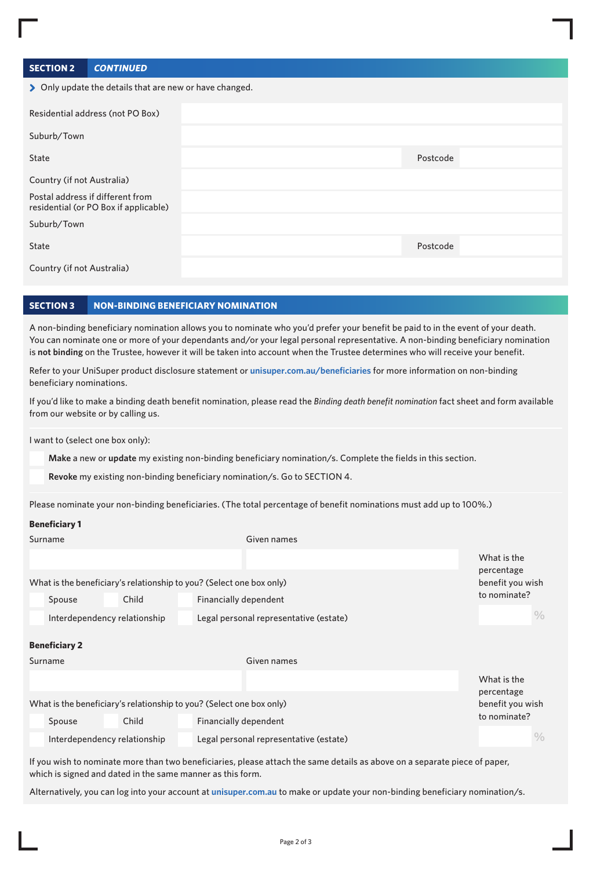# **SECTION 2 CONTINUED**

| > Only update the details that are new or have changed.                   |          |  |  |  |  |  |
|---------------------------------------------------------------------------|----------|--|--|--|--|--|
| Residential address (not PO Box)                                          |          |  |  |  |  |  |
| Suburb/Town                                                               |          |  |  |  |  |  |
| State                                                                     | Postcode |  |  |  |  |  |
| Country (if not Australia)                                                |          |  |  |  |  |  |
| Postal address if different from<br>residential (or PO Box if applicable) |          |  |  |  |  |  |
| Suburb/Town                                                               |          |  |  |  |  |  |
| <b>State</b>                                                              | Postcode |  |  |  |  |  |
| Country (if not Australia)                                                |          |  |  |  |  |  |

#### **SECTION 3 NON-BINDING BENEFICIARY NOMINATION**

A non-binding beneficiary nomination allows you to nominate who you'd prefer your benefit be paid to in the event of your death. You can nominate one or more of your dependants and/or your legal personal representative. A non-binding beneficiary nomination is **not binding** on the Trustee, however it will be taken into account when the Trustee determines who will receive your benefit.

Refer to your UniSuper product disclosure statement or **unisuper.com.au/beneficiaries** for more information on non-binding beneficiary nominations.

If you'd like to make a binding death benefit nomination, please read the *Binding death benefit nomination* fact sheet and form available from our website or by calling us.

I want to (select one box only):

**Make** a new or **update** my existing non-binding beneficiary nomination/s. Complete the fields in this section.

**Revoke** my existing non-binding beneficiary nomination/s. Go to SECTION 4.

Please nominate your non-binding beneficiaries. (The total percentage of benefit nominations must add up to 100%.)

#### **Beneficiary 1**

| Surname                                                              |                      |                                  |                       | Given names                            |  |                           |  |  |  |
|----------------------------------------------------------------------|----------------------|----------------------------------|-----------------------|----------------------------------------|--|---------------------------|--|--|--|
|                                                                      |                      |                                  |                       |                                        |  | What is the<br>percentage |  |  |  |
| What is the beneficiary's relationship to you? (Select one box only) |                      | benefit you wish<br>to nominate? |                       |                                        |  |                           |  |  |  |
|                                                                      | Spouse               | Child                            |                       | Financially dependent                  |  |                           |  |  |  |
|                                                                      |                      | Interdependency relationship     |                       | Legal personal representative (estate) |  |                           |  |  |  |
|                                                                      | <b>Beneficiary 2</b> |                                  |                       |                                        |  |                           |  |  |  |
| Surname                                                              |                      |                                  |                       | Given names                            |  |                           |  |  |  |
|                                                                      |                      |                                  |                       |                                        |  | What is the               |  |  |  |
| What is the beneficiary's relationship to you? (Select one box only) |                      | percentage<br>benefit you wish   |                       |                                        |  |                           |  |  |  |
|                                                                      | Spouse               | Child                            | Financially dependent |                                        |  | to nominate?              |  |  |  |
| Interdependency relationship                                         |                      |                                  |                       | Legal personal representative (estate) |  | $\frac{0}{0}$             |  |  |  |

If you wish to nominate more than two beneficiaries, please attach the same details as above on a separate piece of paper, which is signed and dated in the same manner as this form.

Alternatively, you can log into your account at **unisuper.com.au** to make or update your non-binding beneficiary nomination/s.